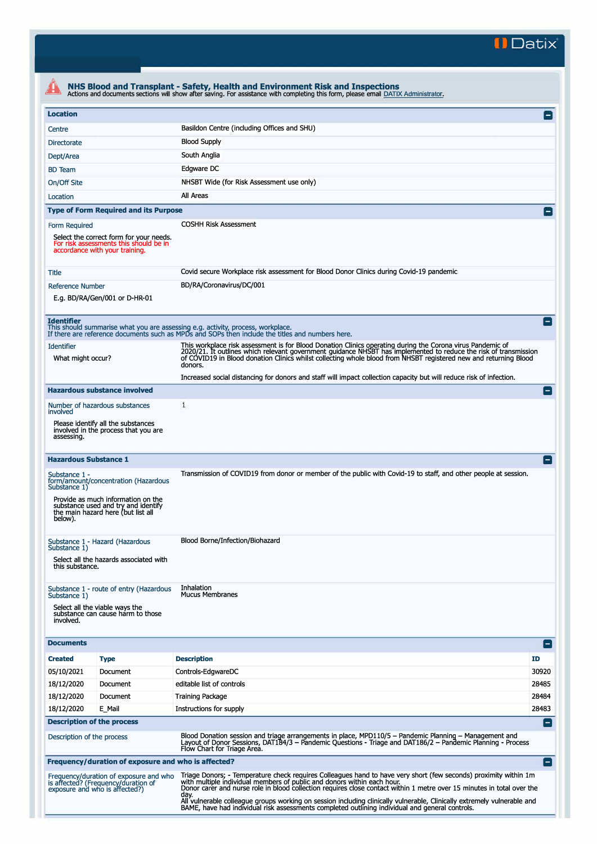**II Datix"** 

|                                                                                                                                                                                                                                                                                                                                                                                                                                                                                                                                                                             |                                                                                                                                                                                                                                                      | NHS Blood and Transplant - Safety, Health and Environment Risk and Inspections<br>Actions and documents sections will show after saving. For assistance with completing this form, please email DATIX Administrator.                                                                                                                                          |                 |  |  |  |
|-----------------------------------------------------------------------------------------------------------------------------------------------------------------------------------------------------------------------------------------------------------------------------------------------------------------------------------------------------------------------------------------------------------------------------------------------------------------------------------------------------------------------------------------------------------------------------|------------------------------------------------------------------------------------------------------------------------------------------------------------------------------------------------------------------------------------------------------|---------------------------------------------------------------------------------------------------------------------------------------------------------------------------------------------------------------------------------------------------------------------------------------------------------------------------------------------------------------|-----------------|--|--|--|
| <b>Location</b>                                                                                                                                                                                                                                                                                                                                                                                                                                                                                                                                                             |                                                                                                                                                                                                                                                      |                                                                                                                                                                                                                                                                                                                                                               | $\vert - \vert$ |  |  |  |
| Centre                                                                                                                                                                                                                                                                                                                                                                                                                                                                                                                                                                      |                                                                                                                                                                                                                                                      | Basildon Centre (including Offices and SHU)                                                                                                                                                                                                                                                                                                                   |                 |  |  |  |
| <b>Directorate</b>                                                                                                                                                                                                                                                                                                                                                                                                                                                                                                                                                          |                                                                                                                                                                                                                                                      | <b>Blood Supply</b>                                                                                                                                                                                                                                                                                                                                           |                 |  |  |  |
| Dept/Area                                                                                                                                                                                                                                                                                                                                                                                                                                                                                                                                                                   |                                                                                                                                                                                                                                                      | South Anglia                                                                                                                                                                                                                                                                                                                                                  |                 |  |  |  |
|                                                                                                                                                                                                                                                                                                                                                                                                                                                                                                                                                                             |                                                                                                                                                                                                                                                      | Edgware DC                                                                                                                                                                                                                                                                                                                                                    |                 |  |  |  |
| <b>BD</b> Team                                                                                                                                                                                                                                                                                                                                                                                                                                                                                                                                                              |                                                                                                                                                                                                                                                      | NHSBT Wide (for Risk Assessment use only)                                                                                                                                                                                                                                                                                                                     |                 |  |  |  |
| On/Off Site<br>Location                                                                                                                                                                                                                                                                                                                                                                                                                                                                                                                                                     |                                                                                                                                                                                                                                                      | All Areas                                                                                                                                                                                                                                                                                                                                                     |                 |  |  |  |
|                                                                                                                                                                                                                                                                                                                                                                                                                                                                                                                                                                             | <b>Type of Form Required and its Purpose</b>                                                                                                                                                                                                         |                                                                                                                                                                                                                                                                                                                                                               | $\overline{ }$  |  |  |  |
|                                                                                                                                                                                                                                                                                                                                                                                                                                                                                                                                                                             |                                                                                                                                                                                                                                                      | <b>COSHH Risk Assessment</b>                                                                                                                                                                                                                                                                                                                                  |                 |  |  |  |
| Form Required                                                                                                                                                                                                                                                                                                                                                                                                                                                                                                                                                               | Select the correct form for your needs.<br>For risk assessments this should be in<br>accordance with your training.                                                                                                                                  |                                                                                                                                                                                                                                                                                                                                                               |                 |  |  |  |
| Title                                                                                                                                                                                                                                                                                                                                                                                                                                                                                                                                                                       |                                                                                                                                                                                                                                                      | Covid secure Workplace risk assessment for Blood Donor Clinics during Covid-19 pandemic                                                                                                                                                                                                                                                                       |                 |  |  |  |
| <b>Reference Number</b>                                                                                                                                                                                                                                                                                                                                                                                                                                                                                                                                                     | E.g. BD/RA/Gen/001 or D-HR-01                                                                                                                                                                                                                        | BD/RA/Coronavirus/DC/001                                                                                                                                                                                                                                                                                                                                      |                 |  |  |  |
| <b>Identifier</b>                                                                                                                                                                                                                                                                                                                                                                                                                                                                                                                                                           |                                                                                                                                                                                                                                                      | This should summarise what you are assessing e.g. activity, process, workplace.<br>If there are reference documents such as MPDs and SOPs then include the titles and numbers here.                                                                                                                                                                           | $\blacksquare$  |  |  |  |
| <b>Identifier</b><br>What might occur?                                                                                                                                                                                                                                                                                                                                                                                                                                                                                                                                      |                                                                                                                                                                                                                                                      | This workplace risk assessment is for Blood Donation Clinics operating during the Corona virus Pandemic of<br>2020/21. It outlines which relevant government guidance NHSBT has implemented to reduce the risk of transmission<br>of COVID19 in Blood donation Clinics whilst collecting whole blood from NHSBT registered new and returning Blood<br>donors. |                 |  |  |  |
|                                                                                                                                                                                                                                                                                                                                                                                                                                                                                                                                                                             |                                                                                                                                                                                                                                                      | Increased social distancing for donors and staff will impact collection capacity but will reduce risk of infection.                                                                                                                                                                                                                                           |                 |  |  |  |
|                                                                                                                                                                                                                                                                                                                                                                                                                                                                                                                                                                             | <b>Hazardous substance involved</b>                                                                                                                                                                                                                  | 1                                                                                                                                                                                                                                                                                                                                                             | $\vert - \vert$ |  |  |  |
| involved                                                                                                                                                                                                                                                                                                                                                                                                                                                                                                                                                                    | Number of hazardous substances                                                                                                                                                                                                                       |                                                                                                                                                                                                                                                                                                                                                               |                 |  |  |  |
| Please identify all the substances<br>involved in the process that you are<br>assessing.                                                                                                                                                                                                                                                                                                                                                                                                                                                                                    |                                                                                                                                                                                                                                                      |                                                                                                                                                                                                                                                                                                                                                               |                 |  |  |  |
| <b>Hazardous Substance 1</b>                                                                                                                                                                                                                                                                                                                                                                                                                                                                                                                                                |                                                                                                                                                                                                                                                      |                                                                                                                                                                                                                                                                                                                                                               | -1              |  |  |  |
| Substance 1 -<br>form/amount/concentration (Hazardous<br>Substance 1)<br>Provide as much information on the<br>substance used and try and identify<br>the main hazard here (but list all<br>below).                                                                                                                                                                                                                                                                                                                                                                         |                                                                                                                                                                                                                                                      | Transmission of COVID19 from donor or member of the public with Covid-19 to staff, and other people at session.                                                                                                                                                                                                                                               |                 |  |  |  |
| Substance 1 - Hazard (Hazardous<br>Substance 1)<br>Select all the hazards associated with<br>this substance.                                                                                                                                                                                                                                                                                                                                                                                                                                                                |                                                                                                                                                                                                                                                      | Blood Borne/Infection/Biohazard                                                                                                                                                                                                                                                                                                                               |                 |  |  |  |
| Substance 1 - route of entry (Hazardous<br>Substance 1)<br>Select all the viable ways the<br>substance can cause harm to those<br>involved.                                                                                                                                                                                                                                                                                                                                                                                                                                 |                                                                                                                                                                                                                                                      | Inhalation<br><b>Mucus Membranes</b>                                                                                                                                                                                                                                                                                                                          |                 |  |  |  |
| <b>Documents</b>                                                                                                                                                                                                                                                                                                                                                                                                                                                                                                                                                            |                                                                                                                                                                                                                                                      |                                                                                                                                                                                                                                                                                                                                                               | E 1             |  |  |  |
| <b>Created</b>                                                                                                                                                                                                                                                                                                                                                                                                                                                                                                                                                              | <b>Type</b>                                                                                                                                                                                                                                          | <b>Description</b>                                                                                                                                                                                                                                                                                                                                            | ID              |  |  |  |
| 05/10/2021                                                                                                                                                                                                                                                                                                                                                                                                                                                                                                                                                                  | Document                                                                                                                                                                                                                                             | Controls-EdgwareDC                                                                                                                                                                                                                                                                                                                                            | 30920           |  |  |  |
| 18/12/2020                                                                                                                                                                                                                                                                                                                                                                                                                                                                                                                                                                  | Document                                                                                                                                                                                                                                             | editable list of controls                                                                                                                                                                                                                                                                                                                                     | 28485           |  |  |  |
| 18/12/2020                                                                                                                                                                                                                                                                                                                                                                                                                                                                                                                                                                  | Document                                                                                                                                                                                                                                             | <b>Training Package</b>                                                                                                                                                                                                                                                                                                                                       | 28484           |  |  |  |
| 18/12/2020                                                                                                                                                                                                                                                                                                                                                                                                                                                                                                                                                                  | E Mail                                                                                                                                                                                                                                               | Instructions for supply                                                                                                                                                                                                                                                                                                                                       | 28483           |  |  |  |
| <b>Description of the process</b>                                                                                                                                                                                                                                                                                                                                                                                                                                                                                                                                           |                                                                                                                                                                                                                                                      |                                                                                                                                                                                                                                                                                                                                                               | $\blacksquare$  |  |  |  |
| Description of the process                                                                                                                                                                                                                                                                                                                                                                                                                                                                                                                                                  | Blood Donation session and triage arrangements in place, MPD110/5 - Pandemic Planning - Management and<br>Layout of Donor Sessions, DAT184/3 – Pandemic Questions - Triage and DAT186/2 – Pandemic Planning - Process<br>Flow Chart for Triage Area. |                                                                                                                                                                                                                                                                                                                                                               |                 |  |  |  |
|                                                                                                                                                                                                                                                                                                                                                                                                                                                                                                                                                                             | Frequency/duration of exposure and who is affected?                                                                                                                                                                                                  |                                                                                                                                                                                                                                                                                                                                                               | $\blacksquare$  |  |  |  |
| Triage Donors; - Temperature check requires Colleagues hand to have very short (few seconds) proximity within 1m<br>Frequency/duration of exposure and who<br>with multiple individual members of public and donors within each hour.<br>is affected? (Frequency/duration of<br>Donor carer and nurse role in blood collection requires close contact within 1 metre over 15 minutes in total over the<br>exposure and who is affected?)<br>day.<br>All vulnerable colleague groups working on session including clinically vulnerable, Clinically extremely vulnerable and |                                                                                                                                                                                                                                                      |                                                                                                                                                                                                                                                                                                                                                               |                 |  |  |  |
|                                                                                                                                                                                                                                                                                                                                                                                                                                                                                                                                                                             |                                                                                                                                                                                                                                                      | BAME, have had individual risk assessments completed outlining individual and general controls.                                                                                                                                                                                                                                                               |                 |  |  |  |